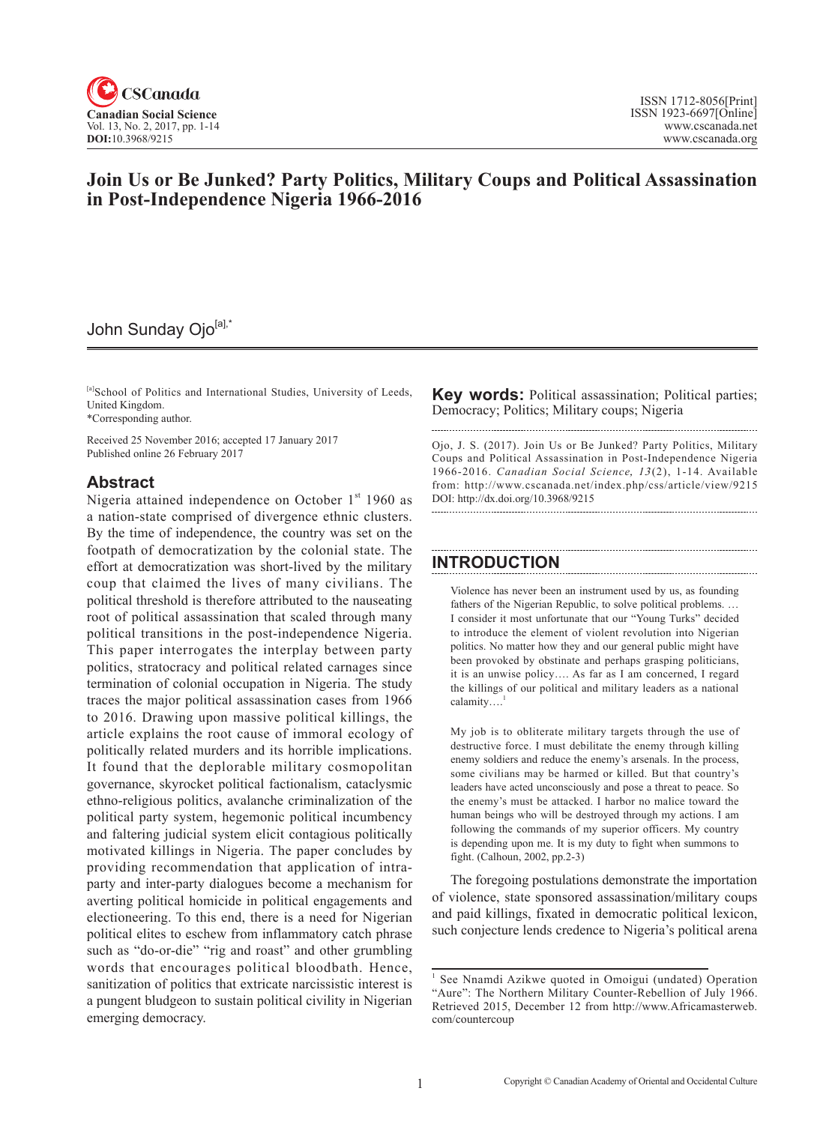

## **Join Us or Be Junked? Party Politics, Military Coups and Political Assassination in Post-Independence Nigeria 1966-2016**

# John Sunday Ojo[a],\*

[a]School of Politics and International Studies, University of Leeds, United Kingdom.

\*Corresponding author.

Received 25 November 2016; accepted 17 January 2017 Published online 26 February 2017

#### **Abstract**

Nigeria attained independence on October  $1<sup>st</sup>$  1960 as a nation-state comprised of divergence ethnic clusters. By the time of independence, the country was set on the footpath of democratization by the colonial state. The effort at democratization was short-lived by the military coup that claimed the lives of many civilians. The political threshold is therefore attributed to the nauseating root of political assassination that scaled through many political transitions in the post-independence Nigeria. This paper interrogates the interplay between party politics, stratocracy and political related carnages since termination of colonial occupation in Nigeria. The study traces the major political assassination cases from 1966 to 2016. Drawing upon massive political killings, the article explains the root cause of immoral ecology of politically related murders and its horrible implications. It found that the deplorable military cosmopolitan governance, skyrocket political factionalism, cataclysmic ethno-religious politics, avalanche criminalization of the political party system, hegemonic political incumbency and faltering judicial system elicit contagious politically motivated killings in Nigeria. The paper concludes by providing recommendation that application of intraparty and inter-party dialogues become a mechanism for averting political homicide in political engagements and electioneering. To this end, there is a need for Nigerian political elites to eschew from inflammatory catch phrase such as "do-or-die" "rig and roast" and other grumbling words that encourages political bloodbath. Hence, sanitization of politics that extricate narcissistic interest is a pungent bludgeon to sustain political civility in Nigerian emerging democracy.

**Key words:** Political assassination; Political parties; Democracy; Politics; Military coups; Nigeria

Ojo, J. S. (2017). Join Us or Be Junked? Party Politics, Military Coups and Political Assassination in Post-Independence Nigeria 1966-2016. *Canadian Social Science*, <sup>13</sup> (2), 1-14. Available from: http://www.cscanada.net/index.php/css/article/view/9215 DOI: http://dx.doi.org/10.3968/9215 

### **INTRODUCTION**

Violence has never been an instrument used by us, as founding fathers of the Nigerian Republic, to solve political problems. … I consider it most unfortunate that our "Young Turks" decided to introduce the element of violent revolution into Nigerian politics. No matter how they and our general public might have been provoked by obstinate and perhaps grasping politicians, it is an unwise policy…. As far as I am concerned, I regard the killings of our political and military leaders as a national calamity....

My job is to obliterate military targets through the use of destructive force. I must debilitate the enemy through killing enemy soldiers and reduce the enemy's arsenals. In the process, some civilians may be harmed or killed. But that country's leaders have acted unconsciously and pose a threat to peace. So the enemy's must be attacked. I harbor no malice toward the human beings who will be destroyed through my actions. I am following the commands of my superior officers. My country is depending upon me. It is my duty to fight when summons to fight. (Calhoun, 2002, pp.2-3)

The foregoing postulations demonstrate the importation of violence, state sponsored assassination/military coups and paid killings, fixated in democratic political lexicon, such conjecture lends credence to Nigeria's political arena

<sup>&</sup>lt;sup>1</sup> See Nnamdi Azikwe quoted in Omoigui (undated) Operation "Aure": The Northern Military Counter-Rebellion of July 1966. Retrieved 2015, December 12 from http://www.Africamasterweb. com/countercoup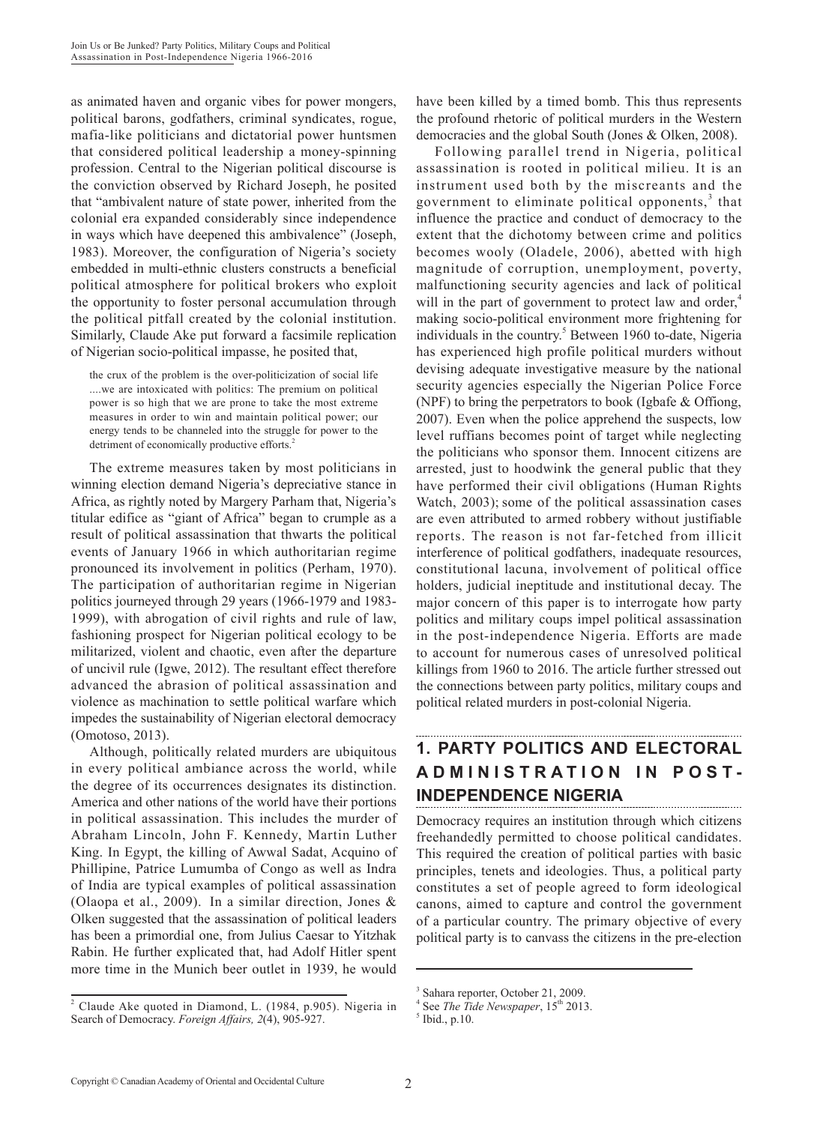as animated haven and organic vibes for power mongers, political barons, godfathers, criminal syndicates, rogue, mafia-like politicians and dictatorial power huntsmen that considered political leadership a money-spinning profession. Central to the Nigerian political discourse is the conviction observed by Richard Joseph, he posited that "ambivalent nature of state power, inherited from the colonial era expanded considerably since independence in ways which have deepened this ambivalence" (Joseph, 1983). Moreover, the configuration of Nigeria's society embedded in multi-ethnic clusters constructs a beneficial political atmosphere for political brokers who exploit the opportunity to foster personal accumulation through the political pitfall created by the colonial institution. Similarly, Claude Ake put forward a facsimile replication of Nigerian socio-political impasse, he posited that,

the crux of the problem is the over-politicization of social life ....we are intoxicated with politics: The premium on political power is so high that we are prone to take the most extreme measures in order to win and maintain political power; our energy tends to be channeled into the struggle for power to the detriment of economically productive efforts.<sup>2</sup>

The extreme measures taken by most politicians in winning election demand Nigeria's depreciative stance in Africa, as rightly noted by Margery Parham that, Nigeria's titular edifice as "giant of Africa" began to crumple as a result of political assassination that thwarts the political events of January 1966 in which authoritarian regime pronounced its involvement in politics (Perham, 1970). The participation of authoritarian regime in Nigerian politics journeyed through 29 years (1966-1979 and 1983- 1999), with abrogation of civil rights and rule of law, fashioning prospect for Nigerian political ecology to be militarized, violent and chaotic, even after the departure of uncivil rule (Igwe, 2012). The resultant effect therefore advanced the abrasion of political assassination and violence as machination to settle political warfare which impedes the sustainability of Nigerian electoral democracy (Omotoso, 2013).

Although, politically related murders are ubiquitous in every political ambiance across the world, while the degree of its occurrences designates its distinction. America and other nations of the world have their portions in political assassination. This includes the murder of Abraham Lincoln, John F. Kennedy, Martin Luther King. In Egypt, the killing of Awwal Sadat, Acquino of Phillipine, Patrice Lumumba of Congo as well as Indra of India are typical examples of political assassination (Olaopa et al., 2009). In a similar direction, Jones & Olken suggested that the assassination of political leaders has been a primordial one, from Julius Caesar to Yitzhak Rabin. He further explicated that, had Adolf Hitler spent more time in the Munich beer outlet in 1939, he would

have been killed by a timed bomb. This thus represents the profound rhetoric of political murders in the Western democracies and the global South (Jones & Olken, 2008).

Following parallel trend in Nigeria, political assassination is rooted in political milieu. It is an instrument used both by the miscreants and the government to eliminate political opponents, $3$  that influence the practice and conduct of democracy to the extent that the dichotomy between crime and politics becomes wooly (Oladele, 2006), abetted with high magnitude of corruption, unemployment, poverty, malfunctioning security agencies and lack of political will in the part of government to protect law and order,<sup>4</sup> making socio-political environment more frightening for individuals in the country.<sup>5</sup> Between 1960 to-date, Nigeria has experienced high profile political murders without devising adequate investigative measure by the national security agencies especially the Nigerian Police Force (NPF) to bring the perpetrators to book (Igbafe & Offiong, 2007). Even when the police apprehend the suspects, low level ruffians becomes point of target while neglecting the politicians who sponsor them. Innocent citizens are arrested, just to hoodwink the general public that they have performed their civil obligations (Human Rights Watch, 2003); some of the political assassination cases are even attributed to armed robbery without justifiable reports. The reason is not far-fetched from illicit interference of political godfathers, inadequate resources, constitutional lacuna, involvement of political office holders, judicial ineptitude and institutional decay. The major concern of this paper is to interrogate how party politics and military coups impel political assassination in the post-independence Nigeria. Efforts are made to account for numerous cases of unresolved political killings from 1960 to 2016. The article further stressed out the connections between party politics, military coups and political related murders in post-colonial Nigeria.

### **1. PARTY POLITICS AND ELECTORAL ADMINISTRATION IN POST-INDEPENDENCE NIGERIA**

Democracy requires an institution through which citizens freehandedly permitted to choose political candidates. This required the creation of political parties with basic principles, tenets and ideologies. Thus, a political party constitutes a set of people agreed to form ideological canons, aimed to capture and control the government of a particular country. The primary objective of every political party is to canvass the citizens in the pre-election

<sup>&</sup>lt;sup>2</sup> Claude Ake quoted in Diamond, L. (1984, p.905). Nigeria in Search of Democracy. *Foreign Affairs, 2*(4), 905-927.

<sup>3</sup> Sahara reporter, October 21, 2009.

<sup>&</sup>lt;sup>4</sup> See *The Tide Newspaper*,  $15^{\text{th}}$  2013.<br><sup>5</sup> Ibid., p.10.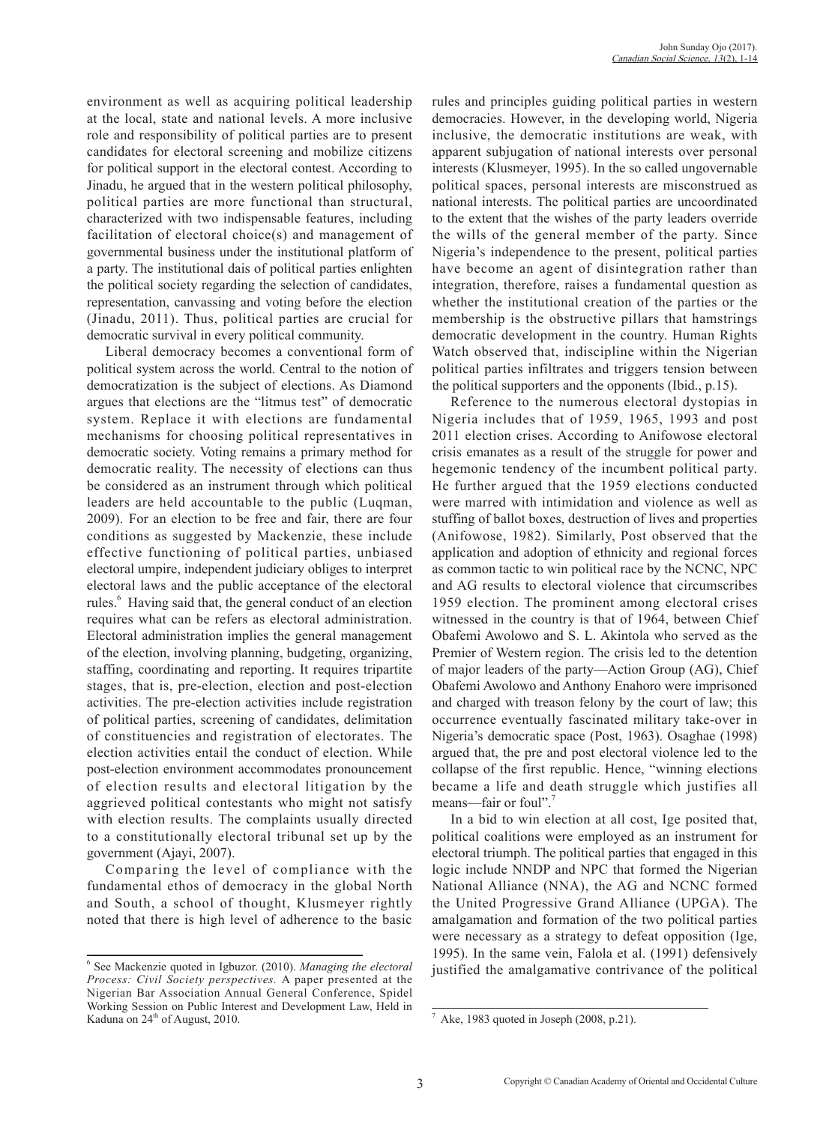environment as well as acquiring political leadership at the local, state and national levels. A more inclusive role and responsibility of political parties are to present candidates for electoral screening and mobilize citizens for political support in the electoral contest. According to Jinadu, he argued that in the western political philosophy, political parties are more functional than structural, characterized with two indispensable features, including facilitation of electoral choice(s) and management of governmental business under the institutional platform of a party. The institutional dais of political parties enlighten the political society regarding the selection of candidates, representation, canvassing and voting before the election (Jinadu, 2011). Thus, political parties are crucial for democratic survival in every political community.

Liberal democracy becomes a conventional form of political system across the world. Central to the notion of democratization is the subject of elections. As Diamond argues that elections are the "litmus test" of democratic system. Replace it with elections are fundamental mechanisms for choosing political representatives in democratic society. Voting remains a primary method for democratic reality. The necessity of elections can thus be considered as an instrument through which political leaders are held accountable to the public (Luqman, 2009). For an election to be free and fair, there are four conditions as suggested by Mackenzie, these include effective functioning of political parties, unbiased electoral umpire, independent judiciary obliges to interpret electoral laws and the public acceptance of the electoral rules.<sup>6</sup> Having said that, the general conduct of an election requires what can be refers as electoral administration. Electoral administration implies the general management of the election, involving planning, budgeting, organizing, staffing, coordinating and reporting. It requires tripartite stages, that is, pre-election, election and post-election activities. The pre-election activities include registration of political parties, screening of candidates, delimitation of constituencies and registration of electorates. The election activities entail the conduct of election. While post-election environment accommodates pronouncement of election results and electoral litigation by the aggrieved political contestants who might not satisfy with election results. The complaints usually directed to a constitutionally electoral tribunal set up by the government (Ajayi, 2007).

Comparing the level of compliance with the fundamental ethos of democracy in the global North and South, a school of thought, Klusmeyer rightly noted that there is high level of adherence to the basic

rules and principles guiding political parties in western democracies. However, in the developing world, Nigeria inclusive, the democratic institutions are weak, with apparent subjugation of national interests over personal interests (Klusmeyer, 1995). In the so called ungovernable political spaces, personal interests are misconstrued as national interests. The political parties are uncoordinated to the extent that the wishes of the party leaders override the wills of the general member of the party. Since Nigeria's independence to the present, political parties have become an agent of disintegration rather than integration, therefore, raises a fundamental question as whether the institutional creation of the parties or the membership is the obstructive pillars that hamstrings democratic development in the country. Human Rights Watch observed that, indiscipline within the Nigerian political parties infiltrates and triggers tension between the political supporters and the opponents (Ibid., p.15).

Reference to the numerous electoral dystopias in Nigeria includes that of 1959, 1965, 1993 and post 2011 election crises. According to Anifowose electoral crisis emanates as a result of the struggle for power and hegemonic tendency of the incumbent political party. He further argued that the 1959 elections conducted were marred with intimidation and violence as well as stuffing of ballot boxes, destruction of lives and properties (Anifowose, 1982). Similarly, Post observed that the application and adoption of ethnicity and regional forces as common tactic to win political race by the NCNC, NPC and AG results to electoral violence that circumscribes 1959 election. The prominent among electoral crises witnessed in the country is that of 1964, between Chief Obafemi Awolowo and S. L. Akintola who served as the Premier of Western region. The crisis led to the detention of major leaders of the party—Action Group (AG), Chief Obafemi Awolowo and Anthony Enahoro were imprisoned and charged with treason felony by the court of law; this occurrence eventually fascinated military take-over in Nigeria's democratic space (Post, 1963). Osaghae (1998) argued that, the pre and post electoral violence led to the collapse of the first republic. Hence, "winning elections became a life and death struggle which justifies all means—fair or foul".<sup>7</sup>

In a bid to win election at all cost, Ige posited that, political coalitions were employed as an instrument for electoral triumph. The political parties that engaged in this logic include NNDP and NPC that formed the Nigerian National Alliance (NNA), the AG and NCNC formed the United Progressive Grand Alliance (UPGA). The amalgamation and formation of the two political parties were necessary as a strategy to defeat opposition (Ige, 1995). In the same vein, Falola et al. (1991) defensively justified the amalgamative contrivance of the political

<sup>6</sup> See Mackenzie quoted in Igbuzor. (2010). *Managing the electoral Process: Civil Society perspectives.* A paper presented at the Nigerian Bar Association Annual General Conference, Spidel Working Session on Public Interest and Development Law, Held in Kaduna on  $24<sup>th</sup>$  of August, 2010.

Ake, 1983 quoted in Joseph (2008, p.21).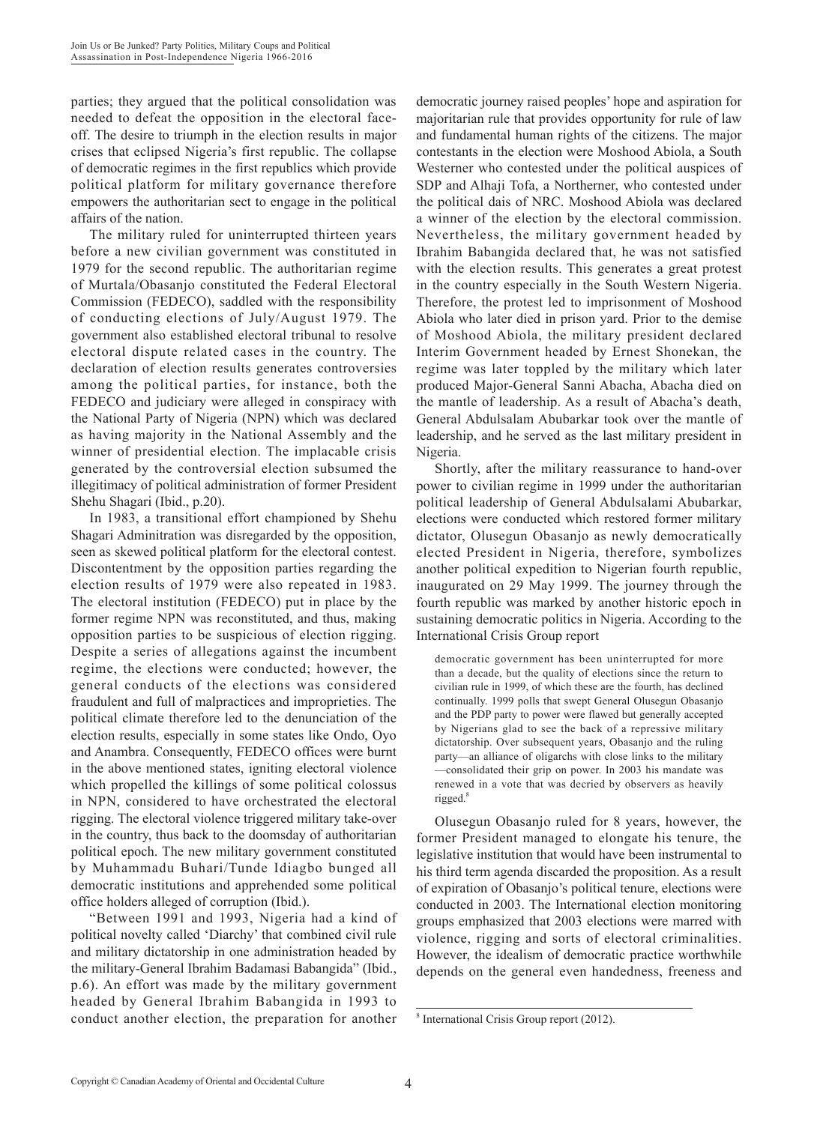parties; they argued that the political consolidation was needed to defeat the opposition in the electoral faceoff. The desire to triumph in the election results in major crises that eclipsed Nigeria's first republic. The collapse of democratic regimes in the first republics which provide political platform for military governance therefore empowers the authoritarian sect to engage in the political affairs of the nation.

The military ruled for uninterrupted thirteen years before a new civilian government was constituted in 1979 for the second republic. The authoritarian regime of Murtala/Obasanjo constituted the Federal Electoral Commission (FEDECO), saddled with the responsibility of conducting elections of July/August 1979. The government also established electoral tribunal to resolve electoral dispute related cases in the country. The declaration of election results generates controversies among the political parties, for instance, both the FEDECO and judiciary were alleged in conspiracy with the National Party of Nigeria (NPN) which was declared as having majority in the National Assembly and the winner of presidential election. The implacable crisis generated by the controversial election subsumed the illegitimacy of political administration of former President Shehu Shagari (Ibid., p.20).

In 1983, a transitional effort championed by Shehu Shagari Adminitration was disregarded by the opposition, seen as skewed political platform for the electoral contest. Discontentment by the opposition parties regarding the election results of 1979 were also repeated in 1983. The electoral institution (FEDECO) put in place by the former regime NPN was reconstituted, and thus, making opposition parties to be suspicious of election rigging. Despite a series of allegations against the incumbent regime, the elections were conducted; however, the general conducts of the elections was considered fraudulent and full of malpractices and improprieties. The political climate therefore led to the denunciation of the election results, especially in some states like Ondo, Oyo and Anambra. Consequently, FEDECO offices were burnt in the above mentioned states, igniting electoral violence which propelled the killings of some political colossus in NPN, considered to have orchestrated the electoral rigging. The electoral violence triggered military take-over in the country, thus back to the doomsday of authoritarian political epoch. The new military government constituted by Muhammadu Buhari/Tunde Idiagbo bunged all democratic institutions and apprehended some political office holders alleged of corruption (Ibid.).

"Between 1991 and 1993, Nigeria had a kind of political novelty called 'Diarchy' that combined civil rule and military dictatorship in one administration headed by the military-General Ibrahim Badamasi Babangida" (Ibid., p.6). An effort was made by the military government headed by General Ibrahim Babangida in 1993 to conduct another election, the preparation for another

democratic journey raised peoples' hope and aspiration for majoritarian rule that provides opportunity for rule of law and fundamental human rights of the citizens. The major contestants in the election were Moshood Abiola, a South Westerner who contested under the political auspices of SDP and Alhaji Tofa, a Northerner, who contested under the political dais of NRC. Moshood Abiola was declared a winner of the election by the electoral commission. Nevertheless, the military government headed by Ibrahim Babangida declared that, he was not satisfied with the election results. This generates a great protest in the country especially in the South Western Nigeria. Therefore, the protest led to imprisonment of Moshood Abiola who later died in prison yard. Prior to the demise of Moshood Abiola, the military president declared Interim Government headed by Ernest Shonekan, the regime was later toppled by the military which later produced Major-General Sanni Abacha, Abacha died on the mantle of leadership. As a result of Abacha's death, General Abdulsalam Abubarkar took over the mantle of leadership, and he served as the last military president in Nigeria.

Shortly, after the military reassurance to hand-over power to civilian regime in 1999 under the authoritarian political leadership of General Abdulsalami Abubarkar, elections were conducted which restored former military dictator, Olusegun Obasanjo as newly democratically elected President in Nigeria, therefore, symbolizes another political expedition to Nigerian fourth republic, inaugurated on 29 May 1999. The journey through the fourth republic was marked by another historic epoch in sustaining democratic politics in Nigeria. According to the International Crisis Group report

democratic government has been uninterrupted for more than a decade, but the quality of elections since the return to civilian rule in 1999, of which these are the fourth, has declined continually. 1999 polls that swept General Olusegun Obasanjo and the PDP party to power were flawed but generally accepted by Nigerians glad to see the back of a repressive military dictatorship. Over subsequent years, Obasanjo and the ruling party—an alliance of oligarchs with close links to the military —consolidated their grip on power. In 2003 his mandate was renewed in a vote that was decried by observers as heavily rigged.<sup>8</sup>

Olusegun Obasanjo ruled for 8 years, however, the former President managed to elongate his tenure, the legislative institution that would have been instrumental to his third term agenda discarded the proposition. As a result of expiration of Obasanjo's political tenure, elections were conducted in 2003. The International election monitoring groups emphasized that 2003 elections were marred with violence, rigging and sorts of electoral criminalities. However, the idealism of democratic practice worthwhile depends on the general even handedness, freeness and

<sup>8</sup> International Crisis Group report (2012).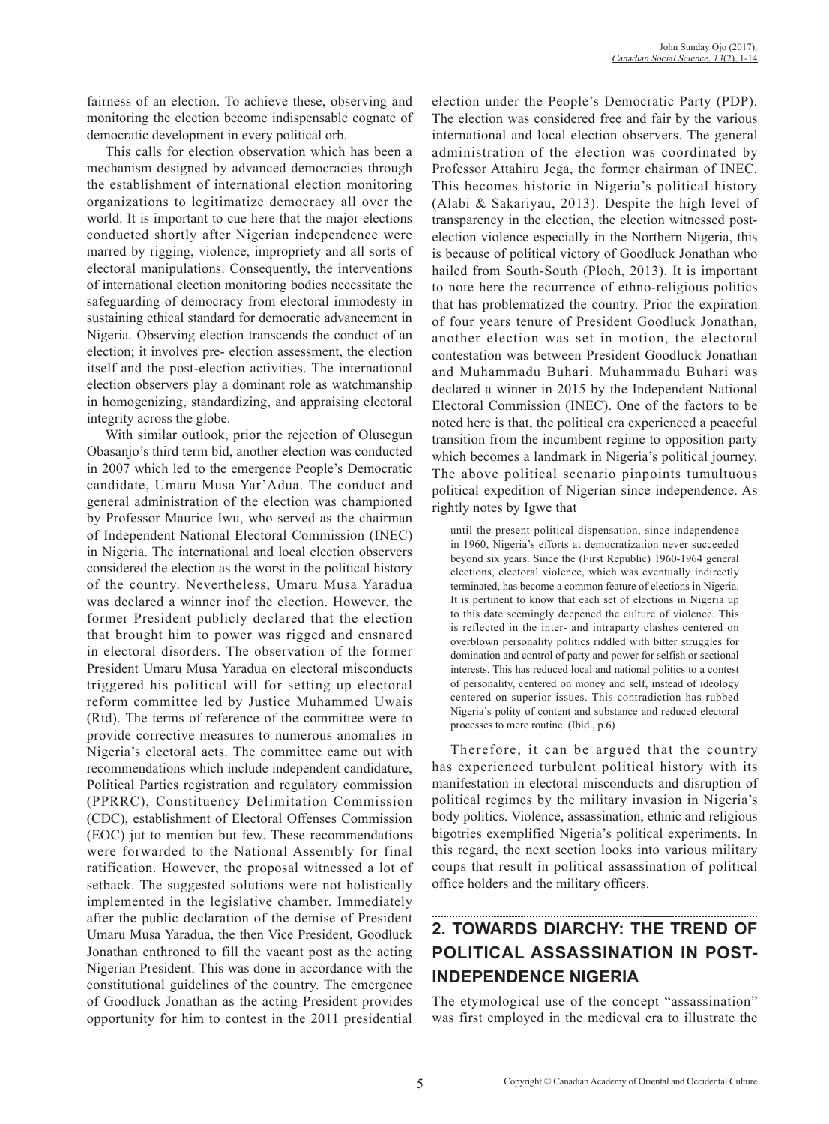fairness of an election. To achieve these, observing and monitoring the election become indispensable cognate of democratic development in every political orb.

This calls for election observation which has been a mechanism designed by advanced democracies through the establishment of international election monitoring organizations to legitimatize democracy all over the world. It is important to cue here that the major elections conducted shortly after Nigerian independence were marred by rigging, violence, impropriety and all sorts of electoral manipulations. Consequently, the interventions of international election monitoring bodies necessitate the safeguarding of democracy from electoral immodesty in sustaining ethical standard for democratic advancement in Nigeria. Observing election transcends the conduct of an election; it involves pre- election assessment, the election itself and the post-election activities. The international election observers play a dominant role as watchmanship in homogenizing, standardizing, and appraising electoral integrity across the globe.

With similar outlook, prior the rejection of Olusegun Obasanjo's third term bid, another election was conducted in 2007 which led to the emergence People's Democratic candidate, Umaru Musa Yar'Adua. The conduct and general administration of the election was championed by Professor Maurice Iwu, who served as the chairman of Independent National Electoral Commission (INEC) in Nigeria. The international and local election observers considered the election as the worst in the political history of the country. Nevertheless, Umaru Musa Yaradua was declared a winner inof the election. However, the former President publicly declared that the election that brought him to power was rigged and ensnared in electoral disorders. The observation of the former President Umaru Musa Yaradua on electoral misconducts triggered his political will for setting up electoral reform committee led by Justice Muhammed Uwais (Rtd). The terms of reference of the committee were to provide corrective measures to numerous anomalies in Nigeria's electoral acts. The committee came out with recommendations which include independent candidature, Political Parties registration and regulatory commission (PPRRC), Constituency Delimitation Commission (CDC), establishment of Electoral Offenses Commission (EOC) jut to mention but few. These recommendations were forwarded to the National Assembly for final ratification. However, the proposal witnessed a lot of setback. The suggested solutions were not holistically implemented in the legislative chamber. Immediately after the public declaration of the demise of President Umaru Musa Yaradua, the then Vice President, Goodluck Jonathan enthroned to fill the vacant post as the acting Nigerian President. This was done in accordance with the constitutional guidelines of the country. The emergence of Goodluck Jonathan as the acting President provides opportunity for him to contest in the 2011 presidential election under the People's Democratic Party (PDP). The election was considered free and fair by the various international and local election observers. The general administration of the election was coordinated by Professor Attahiru Jega, the former chairman of INEC. This becomes historic in Nigeria's political history (Alabi & Sakariyau, 2013). Despite the high level of transparency in the election, the election witnessed postelection violence especially in the Northern Nigeria, this is because of political victory of Goodluck Jonathan who hailed from South-South (Ploch, 2013). It is important to note here the recurrence of ethno-religious politics that has problematized the country. Prior the expiration of four years tenure of President Goodluck Jonathan, another election was set in motion, the electoral contestation was between President Goodluck Jonathan and Muhammadu Buhari. Muhammadu Buhari was declared a winner in 2015 by the Independent National Electoral Commission (INEC). One of the factors to be noted here is that, the political era experienced a peaceful transition from the incumbent regime to opposition party which becomes a landmark in Nigeria's political journey. The above political scenario pinpoints tumultuous political expedition of Nigerian since independence. As rightly notes by Igwe that

until the present political dispensation, since independence in 1960, Nigeria's efforts at democratization never succeeded beyond six years. Since the (First Republic) 1960-1964 general elections, electoral violence, which was eventually indirectly terminated, has become a common feature of elections in Nigeria. It is pertinent to know that each set of elections in Nigeria up to this date seemingly deepened the culture of violence. This is reflected in the inter- and intraparty clashes centered on overblown personality politics riddled with bitter struggles for domination and control of party and power for selfish or sectional interests. This has reduced local and national politics to a contest of personality, centered on money and self, instead of ideology centered on superior issues. This contradiction has rubbed Nigeria's polity of content and substance and reduced electoral processes to mere routine. (Ibid., p.6)

Therefore, it can be argued that the country has experienced turbulent political history with its manifestation in electoral misconducts and disruption of political regimes by the military invasion in Nigeria's body politics. Violence, assassination, ethnic and religious bigotries exemplified Nigeria's political experiments. In this regard, the next section looks into various military coups that result in political assassination of political office holders and the military officers.

## **2. TOWARDS DIARCHY: THE TREND OF POLITICAL ASSASSINATION IN POST-INDEPENDENCE NIGERIA**

The etymological use of the concept "assassination" was first employed in the medieval era to illustrate the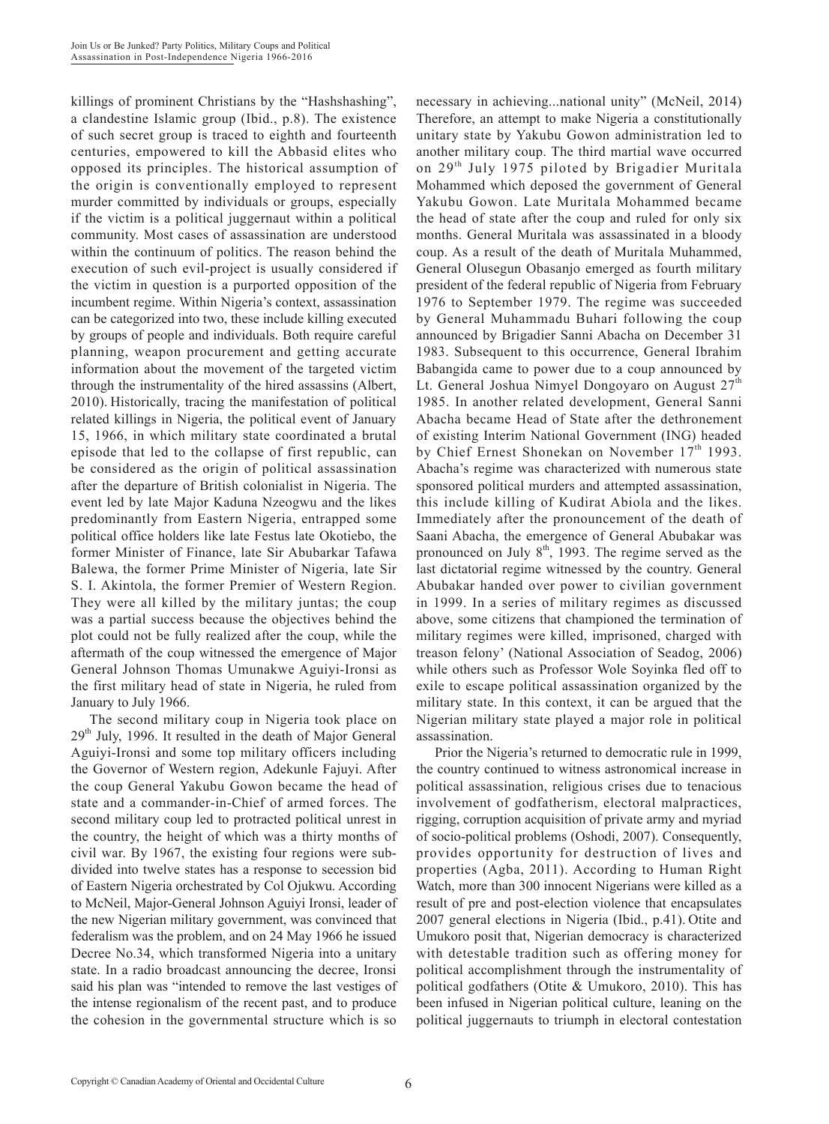killings of prominent Christians by the "Hashshashing", a clandestine Islamic group (Ibid., p.8). The existence of such secret group is traced to eighth and fourteenth centuries, empowered to kill the Abbasid elites who opposed its principles. The historical assumption of the origin is conventionally employed to represent murder committed by individuals or groups, especially if the victim is a political juggernaut within a political community. Most cases of assassination are understood within the continuum of politics. The reason behind the execution of such evil-project is usually considered if the victim in question is a purported opposition of the incumbent regime. Within Nigeria's context, assassination can be categorized into two, these include killing executed by groups of people and individuals. Both require careful planning, weapon procurement and getting accurate information about the movement of the targeted victim through the instrumentality of the hired assassins (Albert, 2010). Historically, tracing the manifestation of political related killings in Nigeria, the political event of January 15, 1966, in which military state coordinated a brutal episode that led to the collapse of first republic, can be considered as the origin of political assassination after the departure of British colonialist in Nigeria. The event led by late Major Kaduna Nzeogwu and the likes predominantly from Eastern Nigeria, entrapped some political office holders like late Festus late Okotiebo, the former Minister of Finance, late Sir Abubarkar Tafawa Balewa, the former Prime Minister of Nigeria, late Sir S. I. Akintola, the former Premier of Western Region. They were all killed by the military juntas; the coup was a partial success because the objectives behind the plot could not be fully realized after the coup, while the aftermath of the coup witnessed the emergence of Major General Johnson Thomas Umunakwe Aguiyi-Ironsi as the first military head of state in Nigeria, he ruled from January to July 1966.

The second military coup in Nigeria took place on  $29<sup>th</sup>$  July, 1996. It resulted in the death of Major General Aguiyi-Ironsi and some top military officers including the Governor of Western region, Adekunle Fajuyi. After the coup General Yakubu Gowon became the head of state and a commander-in-Chief of armed forces. The second military coup led to protracted political unrest in the country, the height of which was a thirty months of civil war. By 1967, the existing four regions were subdivided into twelve states has a response to secession bid of Eastern Nigeria orchestrated by Col Ojukwu. According to McNeil, Major-General Johnson Aguiyi Ironsi, leader of the new Nigerian military government, was convinced that federalism was the problem, and on 24 May 1966 he issued Decree No.34, which transformed Nigeria into a unitary state. In a radio broadcast announcing the decree, Ironsi said his plan was "intended to remove the last vestiges of the intense regionalism of the recent past, and to produce the cohesion in the governmental structure which is so necessary in achieving...national unity" (McNeil, 2014) Therefore, an attempt to make Nigeria a constitutionally unitary state by Yakubu Gowon administration led to another military coup. The third martial wave occurred on 29<sup>th</sup> July 1975 piloted by Brigadier Muritala Mohammed which deposed the government of General Yakubu Gowon. Late Muritala Mohammed became the head of state after the coup and ruled for only six months. General Muritala was assassinated in a bloody coup. As a result of the death of Muritala Muhammed, General Olusegun Obasanjo emerged as fourth military president of the federal republic of Nigeria from February 1976 to September 1979. The regime was succeeded by General Muhammadu Buhari following the coup announced by Brigadier Sanni Abacha on December 31 1983. Subsequent to this occurrence, General Ibrahim Babangida came to power due to a coup announced by Lt. General Joshua Nimyel Dongoyaro on August  $27<sup>th</sup>$ 1985. In another related development, General Sanni Abacha became Head of State after the dethronement of existing Interim National Government (ING) headed by Chief Ernest Shonekan on November 17<sup>th</sup> 1993. Abacha's regime was characterized with numerous state sponsored political murders and attempted assassination, this include killing of Kudirat Abiola and the likes. Immediately after the pronouncement of the death of Saani Abacha, the emergence of General Abubakar was pronounced on July  $8<sup>th</sup>$ , 1993. The regime served as the last dictatorial regime witnessed by the country. General Abubakar handed over power to civilian government in 1999. In a series of military regimes as discussed above, some citizens that championed the termination of military regimes were killed, imprisoned, charged with treason felony' (National Association of Seadog, 2006) while others such as Professor Wole Soyinka fled off to exile to escape political assassination organized by the military state. In this context, it can be argued that the Nigerian military state played a major role in political assassination.

Prior the Nigeria's returned to democratic rule in 1999, the country continued to witness astronomical increase in political assassination, religious crises due to tenacious involvement of godfatherism, electoral malpractices, rigging, corruption acquisition of private army and myriad of socio-political problems (Oshodi, 2007). Consequently, provides opportunity for destruction of lives and properties (Agba, 2011). According to Human Right Watch, more than 300 innocent Nigerians were killed as a result of pre and post-election violence that encapsulates 2007 general elections in Nigeria (Ibid., p.41). Otite and Umukoro posit that, Nigerian democracy is characterized with detestable tradition such as offering money for political accomplishment through the instrumentality of political godfathers (Otite & Umukoro, 2010). This has been infused in Nigerian political culture, leaning on the political juggernauts to triumph in electoral contestation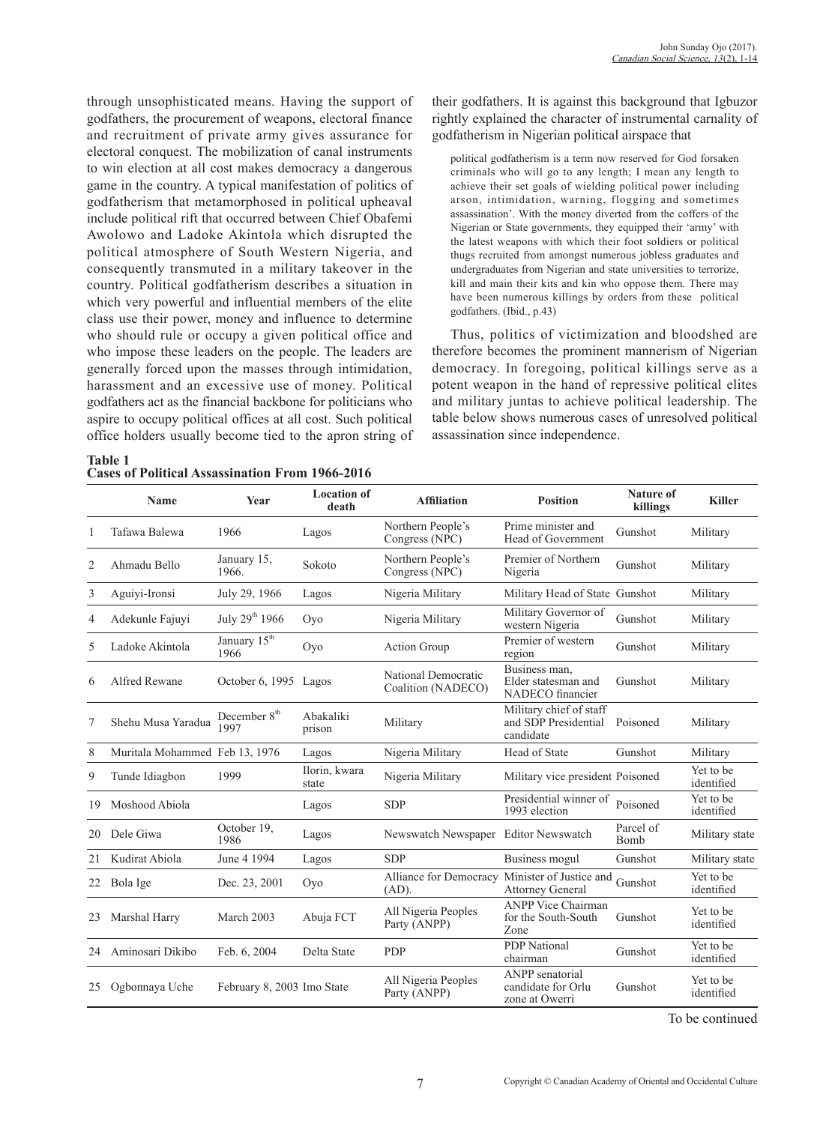through unsophisticated means. Having the support of godfathers, the procurement of weapons, electoral finance and recruitment of private army gives assurance for electoral conquest. The mobilization of canal instruments to win election at all cost makes democracy a dangerous game in the country. A typical manifestation of politics of godfatherism that metamorphosed in political upheaval include political rift that occurred between Chief Obafemi Awolowo and Ladoke Akintola which disrupted the political atmosphere of South Western Nigeria, and consequently transmuted in a military takeover in the country. Political godfatherism describes a situation in which very powerful and influential members of the elite class use their power, money and influence to determine who should rule or occupy a given political office and who impose these leaders on the people. The leaders are generally forced upon the masses through intimidation, harassment and an excessive use of money. Political godfathers act as the financial backbone for politicians who aspire to occupy political offices at all cost. Such political office holders usually become tied to the apron string of

**Table 1 Cases of Political Assassination From 1966-2016**

their godfathers. It is against this background that Igbuzor rightly explained the character of instrumental carnality of godfatherism in Nigerian political airspace that

political godfatherism is a term now reserved for God forsaken criminals who will go to any length; I mean any length to achieve their set goals of wielding political power including arson, intimidation, warning, flogging and sometimes assassination'. With the money diverted from the coffers of the Nigerian or State governments, they equipped their 'army' with the latest weapons with which their foot soldiers or political thugs recruited from amongst numerous jobless graduates and undergraduates from Nigerian and state universities to terrorize, kill and main their kits and kin who oppose them. There may have been numerous killings by orders from these political godfathers. (Ibid., p.43)

Thus, politics of victimization and bloodshed are therefore becomes the prominent mannerism of Nigerian democracy. In foregoing, political killings serve as a potent weapon in the hand of repressive political elites and military juntas to achieve political leadership. The table below shows numerous cases of unresolved political assassination since independence.

|    | <b>Name</b>                    | <b>Year</b>                      | <b>Location of</b><br>death | <b>Affiliation</b>                        | <b>Position</b>                                              | Nature of<br>killings | <b>Killer</b>           |
|----|--------------------------------|----------------------------------|-----------------------------|-------------------------------------------|--------------------------------------------------------------|-----------------------|-------------------------|
| 1  | Tafawa Balewa                  | 1966                             | Lagos                       | Northern People's<br>Congress (NPC)       | Prime minister and<br>Head of Government                     | Gunshot               | Military                |
| 2  | Ahmadu Bello                   | January 15,<br>1966.             | Sokoto                      | Northern People's<br>Congress (NPC)       | Premier of Northern<br>Nigeria                               | Gunshot               | Military                |
| 3  | Aguiyi-Ironsi                  | July 29, 1966                    | Lagos                       | Nigeria Military                          | Military Head of State Gunshot                               |                       | Military                |
| 4  | Adekunle Fajuyi                | July 29th 1966                   | Oyo                         | Nigeria Military                          | Military Governor of<br>western Nigeria                      | Gunshot               | Military                |
| 5  | Ladoke Akintola                | January 15 <sup>th</sup><br>1966 | Oyo                         | <b>Action Group</b>                       | Premier of western<br>region                                 | Gunshot               | Military                |
| 6  | Alfred Rewane                  | October 6, 1995                  | Lagos                       | National Democratic<br>Coalition (NADECO) | Business man,<br>Elder statesman and<br>NADECO financier     | Gunshot               | Military                |
| 7  | Shehu Musa Yaradua             | December 8 <sup>th</sup><br>1997 | Abakaliki<br>prison         | Military                                  | Military chief of staff<br>and SDP Presidential<br>candidate | Poisoned              | Military                |
| 8  | Muritala Mohammed Feb 13, 1976 |                                  | Lagos                       | Nigeria Military                          | Head of State                                                | Gunshot               | Military                |
| 9  | Tunde Idiagbon                 | 1999                             | Ilorin, kwara<br>state      | Nigeria Military                          | Military vice president Poisoned                             |                       | Yet to be<br>identified |
| 19 | Moshood Abiola                 |                                  | Lagos                       | <b>SDP</b>                                | Presidential winner of<br>1993 election                      | Poisoned              | Yet to be<br>identified |
| 20 | Dele Giwa                      | October 19,<br>1986              | Lagos                       | Newswatch Newspaper Editor Newswatch      |                                                              | Parcel of<br>Bomb     | Military state          |
| 21 | Kudirat Abiola                 | June 4 1994                      | Lagos                       | <b>SDP</b>                                | Business mogul                                               | Gunshot               | Military state          |
| 22 | Bola Ige                       | Dec. 23, 2001                    | Oyo                         | Alliance for Democracy<br>(AD).           | Minister of Justice and<br><b>Attorney General</b>           | Gunshot               | Yet to be<br>identified |
| 23 | Marshal Harry                  | March 2003                       | Abuja FCT                   | All Nigeria Peoples<br>Party (ANPP)       | <b>ANPP Vice Chairman</b><br>for the South-South<br>Zone     | Gunshot               | Yet to be<br>identified |
| 24 | Aminosari Dikibo               | Feb. 6, 2004                     | Delta State                 | <b>PDP</b>                                | <b>PDP</b> National<br>chairman                              | Gunshot               | Yet to be<br>identified |
| 25 | Ogbonnaya Uche                 | February 8, 2003 Imo State       |                             | All Nigeria Peoples<br>Party (ANPP)       | ANPP senatorial<br>candidate for Orlu<br>zone at Owerri      | Gunshot               | Yet to be<br>identified |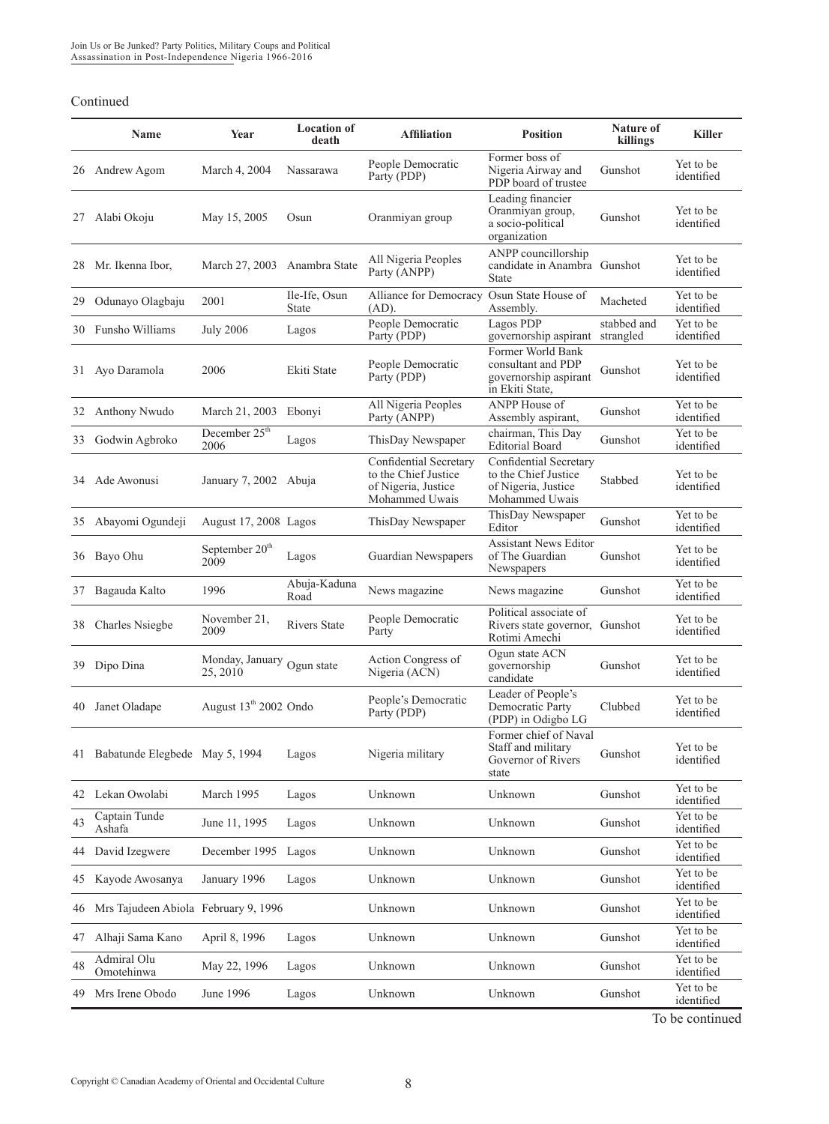|    | Name                                 | Year                                   | <b>Location of</b><br>death | <b>Affiliation</b>                                                                      | <b>Position</b>                                                                         | Nature of<br>killings    | <b>Killer</b>           |
|----|--------------------------------------|----------------------------------------|-----------------------------|-----------------------------------------------------------------------------------------|-----------------------------------------------------------------------------------------|--------------------------|-------------------------|
| 26 | Andrew Agom                          | March 4, 2004                          | Nassarawa                   | People Democratic<br>Party (PDP)                                                        | Former boss of<br>Nigeria Airway and<br>PDP board of trustee                            | Gunshot                  | Yet to be<br>identified |
| 27 | Alabi Okoju                          | May 15, 2005                           | Osun                        | Oranmiyan group                                                                         | Leading financier<br>Oranmiyan group,<br>a socio-political<br>organization              | Gunshot                  | Yet to be<br>identified |
| 28 | Mr. Ikenna Ibor,                     | March 27, 2003                         | Anambra State               | All Nigeria Peoples<br>Party (ANPP)                                                     | ANPP councillorship<br>candidate in Anambra Gunshot<br><b>State</b>                     |                          | Yet to be<br>identified |
| 29 | Odunayo Olagbaju                     | 2001                                   | Ile-Ife, Osun<br>State      | Alliance for Democracy<br>$(AD)$ .                                                      | Osun State House of<br>Assembly.                                                        | Macheted                 | Yet to be<br>identified |
| 30 | Funsho Williams                      | <b>July 2006</b>                       | Lagos                       | People Democratic<br>Party (PDP)                                                        | Lagos PDP<br>governorship aspirant                                                      | stabbed and<br>strangled | Yet to be<br>identified |
| 31 | Ayo Daramola                         | 2006                                   | Ekiti State                 | People Democratic<br>Party (PDP)                                                        | Former World Bank<br>consultant and PDP<br>governorship aspirant<br>in Ekiti State,     | Gunshot                  | Yet to be<br>identified |
| 32 | Anthony Nwudo                        | March 21, 2003                         | Ebonyi                      | All Nigeria Peoples<br>Party (ANPP)                                                     | ANPP House of<br>Assembly aspirant,                                                     | Gunshot                  | Yet to be<br>identified |
| 33 | Godwin Agbroko                       | December $25^{\text{th}}$<br>2006      | Lagos                       | ThisDay Newspaper                                                                       | chairman, This Day<br><b>Editorial Board</b>                                            | Gunshot                  | Yet to be<br>identified |
| 34 | Ade Awonusi                          | January 7, 2002 Abuja                  |                             | Confidential Secretary<br>to the Chief Justice<br>of Nigeria, Justice<br>Mohammed Uwais | Confidential Secretary<br>to the Chief Justice<br>of Nigeria, Justice<br>Mohammed Uwais | Stabbed                  | Yet to be<br>identified |
| 35 | Abayomi Ogundeji                     | August 17, 2008 Lagos                  |                             | ThisDay Newspaper                                                                       | ThisDay Newspaper<br>Editor                                                             | Gunshot                  | Yet to be<br>identified |
| 36 | Bayo Ohu                             | September 20 <sup>th</sup><br>2009     | Lagos                       | Guardian Newspapers                                                                     | <b>Assistant News Editor</b><br>of The Guardian<br>Newspapers                           | Gunshot                  | Yet to be<br>identified |
| 37 | Bagauda Kalto                        | 1996                                   | Abuja-Kaduna<br>Road        | News magazine                                                                           | News magazine                                                                           | Gunshot                  | Yet to be<br>identified |
| 38 | Charles Nsiegbe                      | November 21,<br>2009                   | <b>Rivers State</b>         | People Democratic<br>Party                                                              | Political associate of<br>Rivers state governor, Gunshot<br>Rotimi Amechi               |                          | Yet to be<br>identified |
| 39 | Dipo Dina                            | Monday, January Ogun state<br>25, 2010 |                             | Action Congress of<br>Nigeria (ACN)                                                     | Ogun state ACN<br>governorship<br>candidate                                             | Gunshot                  | Yet to be<br>identified |
| 40 | Janet Oladape                        | August 13 <sup>th</sup> 2002 Ondo      |                             | People's Democratic<br>Party (PDP)                                                      | Leader of People's<br>Democratic Party<br>(PDP) in Odigbo LG                            | Clubbed                  | Yet to be<br>identified |
| 41 | Babatunde Elegbede May 5, 1994       |                                        | Lagos                       | Nigeria military                                                                        | Former chief of Naval<br>Staff and military<br>Governor of Rivers<br>state              | Gunshot                  | Yet to be<br>identified |
| 42 | Lekan Owolabi                        | March 1995                             | Lagos                       | Unknown                                                                                 | Unknown                                                                                 | Gunshot                  | Yet to be<br>identified |
| 43 | Captain Tunde<br>Ashafa              | June 11, 1995                          | Lagos                       | Unknown                                                                                 | Unknown                                                                                 | Gunshot                  | Yet to be<br>identified |
| 44 | David Izegwere                       | December 1995                          | Lagos                       | Unknown                                                                                 | Unknown                                                                                 | Gunshot                  | Yet to be<br>identified |
| 45 | Kayode Awosanya                      | January 1996                           | Lagos                       | Unknown                                                                                 | Unknown                                                                                 | Gunshot                  | Yet to be<br>identified |
| 46 | Mrs Tajudeen Abiola February 9, 1996 |                                        |                             | Unknown                                                                                 | Unknown                                                                                 | Gunshot                  | Yet to be<br>identified |
| 47 | Alhaji Sama Kano                     | April 8, 1996                          | Lagos                       | Unknown                                                                                 | Unknown                                                                                 | Gunshot                  | Yet to be<br>identified |
| 48 | Admiral Olu<br>Omotehinwa            | May 22, 1996                           | Lagos                       | Unknown                                                                                 | Unknown                                                                                 | Gunshot                  | Yet to be<br>identified |
| 49 | Mrs Irene Obodo                      | June 1996                              | Lagos                       | Unknown                                                                                 | Unknown                                                                                 | Gunshot                  | Yet to be<br>identified |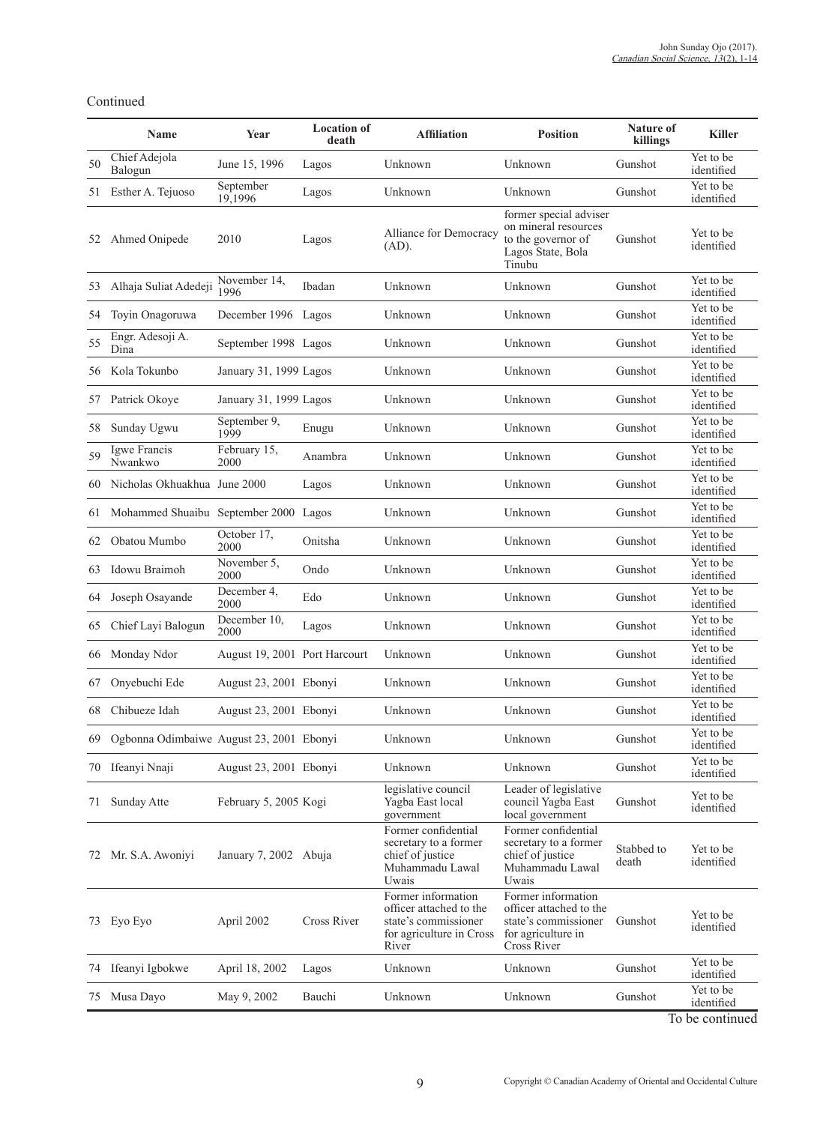|    | Name                                        | Year                          | <b>Location of</b><br>death | <b>Affiliation</b>                                                                                         | <b>Position</b>                                                                                            | <b>Nature of</b><br>killings | <b>Killer</b>           |
|----|---------------------------------------------|-------------------------------|-----------------------------|------------------------------------------------------------------------------------------------------------|------------------------------------------------------------------------------------------------------------|------------------------------|-------------------------|
| 50 | Chief Adejola<br>Balogun                    | June 15, 1996                 | Lagos                       | Unknown                                                                                                    | Unknown                                                                                                    | Gunshot                      | Yet to be<br>identified |
| 51 | Esther A. Tejuoso                           | September<br>19,1996          | Lagos                       | Unknown                                                                                                    | Unknown                                                                                                    | Gunshot                      | Yet to be<br>identified |
| 52 | Ahmed Onipede                               | 2010                          | Lagos                       | Alliance for Democracy<br>$(AD)$ .                                                                         | former special adviser<br>on mineral resources<br>to the governor of<br>Lagos State, Bola<br>Tinubu        | Gunshot                      | Yet to be<br>identified |
| 53 | Alhaja Suliat Adedeji                       | November 14.<br>1996          | Ibadan                      | Unknown                                                                                                    | Unknown                                                                                                    | Gunshot                      | Yet to be<br>identified |
| 54 | Toyin Onagoruwa                             | December 1996 Lagos           |                             | Unknown                                                                                                    | Unknown                                                                                                    | Gunshot                      | Yet to be<br>identified |
| 55 | Engr. Adesoji A.<br>Dina                    | September 1998 Lagos          |                             | Unknown                                                                                                    | Unknown                                                                                                    | Gunshot                      | Yet to be<br>identified |
| 56 | Kola Tokunbo                                | January 31, 1999 Lagos        |                             | Unknown                                                                                                    | Unknown                                                                                                    | Gunshot                      | Yet to be<br>identified |
| 57 | Patrick Okoye                               | January 31, 1999 Lagos        |                             | Unknown                                                                                                    | Unknown                                                                                                    | Gunshot                      | Yet to be<br>identified |
| 58 | Sunday Ugwu                                 | September 9,<br>1999          | Enugu                       | Unknown                                                                                                    | Unknown                                                                                                    | Gunshot                      | Yet to be<br>identified |
| 59 | Igwe Francis<br>Nwankwo                     | February 15,<br>2000          | Anambra                     | Unknown                                                                                                    | Unknown                                                                                                    | Gunshot                      | Yet to be<br>identified |
| 60 | Nicholas Okhuakhua June 2000                |                               | Lagos                       | Unknown                                                                                                    | Unknown                                                                                                    | Gunshot                      | Yet to be<br>identified |
| 61 | Mohammed Shuaibu September 2000 Lagos       |                               |                             | Unknown                                                                                                    | Unknown                                                                                                    | Gunshot                      | Yet to be<br>identified |
| 62 | Obatou Mumbo                                | October 17,<br>2000           | Onitsha                     | Unknown                                                                                                    | Unknown                                                                                                    | Gunshot                      | Yet to be<br>identified |
| 63 | Idowu Braimoh                               | November 5,<br>2000           | Ondo                        | Unknown                                                                                                    | Unknown                                                                                                    | Gunshot                      | Yet to be<br>identified |
| 64 | Joseph Osayande                             | December 4,<br>2000           | Edo                         | Unknown                                                                                                    | Unknown                                                                                                    | Gunshot                      | Yet to be<br>identified |
| 65 | Chief Layi Balogun                          | December 10,<br>2000          | Lagos                       | Unknown                                                                                                    | Unknown                                                                                                    | Gunshot                      | Yet to be<br>identified |
| 66 | Monday Ndor                                 | August 19, 2001 Port Harcourt |                             | Unknown                                                                                                    | Unknown                                                                                                    | Gunshot                      | Yet to be<br>identified |
| 67 | Onyebuchi Ede                               | August 23, 2001 Ebonyi        |                             | Unknown                                                                                                    | Unknown                                                                                                    | Gunshot                      | Yet to be<br>identified |
| 68 | Chibueze Idah                               | August 23, 2001 Ebonyi        |                             | Unknown                                                                                                    | Unknown                                                                                                    | Gunshot                      | Yet to be<br>identified |
|    | 69 Ogbonna Odimbaiwe August 23, 2001 Ebonyi |                               |                             | Unknown                                                                                                    | Unknown                                                                                                    | Gunshot                      | Yet to be<br>identified |
|    | 70 Ifeanyi Nnaji                            | August 23, 2001 Ebonyi        |                             | Unknown                                                                                                    | Unknown                                                                                                    | Gunshot                      | Yet to be<br>identified |
| 71 | Sunday Atte                                 | February 5, 2005 Kogi         |                             | legislative council<br>Yagba East local<br>government                                                      | Leader of legislative<br>council Yagba East<br>local government                                            | Gunshot                      | Yet to be<br>identified |
|    | 72 Mr. S.A. Awoniyi                         | January 7, 2002 Abuja         |                             | Former confidential<br>secretary to a former<br>chief of justice<br>Muhammadu Lawal<br>Uwais               | Former confidential<br>secretary to a former<br>chief of justice<br>Muhammadu Lawal<br>Uwais               | Stabbed to<br>death          | Yet to be<br>identified |
|    | 73 Eyo Eyo                                  | April 2002                    | Cross River                 | Former information<br>officer attached to the<br>state's commissioner<br>for agriculture in Cross<br>River | Former information<br>officer attached to the<br>state's commissioner<br>for agriculture in<br>Cross River | Gunshot                      | Yet to be<br>identified |
|    | 74 Ifeanyi Igbokwe                          | April 18, 2002                | Lagos                       | Unknown                                                                                                    | Unknown                                                                                                    | Gunshot                      | Yet to be<br>identified |
|    | 75 Musa Dayo                                | May 9, 2002                   | Bauchi                      | Unknown                                                                                                    | Unknown                                                                                                    | Gunshot                      | Yet to be<br>identified |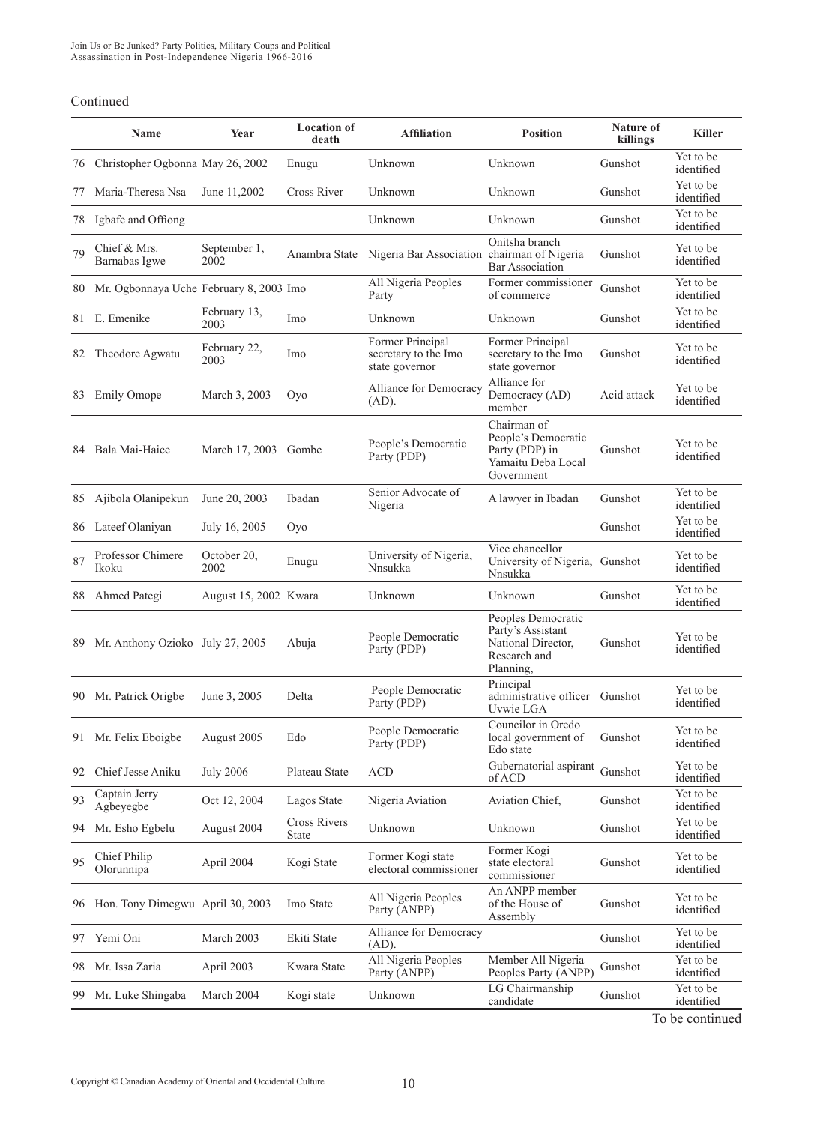|    | Name                                    | Year                  | <b>Location</b> of<br>death | <b>Affiliation</b>                                         | <b>Position</b>                                                                            | <b>Nature of</b><br>killings | <b>Killer</b>           |
|----|-----------------------------------------|-----------------------|-----------------------------|------------------------------------------------------------|--------------------------------------------------------------------------------------------|------------------------------|-------------------------|
| 76 | Christopher Ogbonna May 26, 2002        |                       | Enugu                       | Unknown                                                    | Unknown                                                                                    | Gunshot                      | Yet to be<br>identified |
| 77 | Maria-Theresa Nsa                       | June 11,2002          | Cross River                 | Unknown                                                    | Unknown                                                                                    | Gunshot                      | Yet to be<br>identified |
| 78 | Igbafe and Offiong                      |                       |                             | Unknown                                                    | Unknown                                                                                    | Gunshot                      | Yet to be<br>identified |
| 79 | Chief & Mrs.<br>Barnabas Igwe           | September 1,<br>2002  | Anambra State               | Nigeria Bar Association chairman of Nigeria                | Onitsha branch<br><b>Bar Association</b>                                                   | Gunshot                      | Yet to be<br>identified |
| 80 | Mr. Ogbonnaya Uche February 8, 2003 Imo |                       |                             | All Nigeria Peoples<br>Party                               | Former commissioner<br>of commerce                                                         | Gunshot                      | Yet to be<br>identified |
| 81 | E. Emenike                              | February 13,<br>2003  | Imo                         | Unknown                                                    | Unknown                                                                                    | Gunshot                      | Yet to be<br>identified |
| 82 | Theodore Agwatu                         | February 22,<br>2003  | Imo                         | Former Principal<br>secretary to the Imo<br>state governor | Former Principal<br>secretary to the Imo<br>state governor                                 | Gunshot                      | Yet to be<br>identified |
| 83 | <b>Emily Omope</b>                      | March 3, 2003         | Oyo                         | Alliance for Democracy<br>$(AD)$ .                         | Alliance for<br>Democracy (AD)<br>member                                                   | Acid attack                  | Yet to be<br>identified |
| 84 | Bala Mai-Haice                          | March 17, 2003 Gombe  |                             | People's Democratic<br>Party (PDP)                         | Chairman of<br>People's Democratic<br>Party (PDP) in<br>Yamaitu Deba Local<br>Government   | Gunshot                      | Yet to be<br>identified |
| 85 | Ajibola Olanipekun                      | June 20, 2003         | Ibadan                      | Senior Advocate of<br>Nigeria                              | A lawyer in Ibadan                                                                         | Gunshot                      | Yet to be<br>identified |
| 86 | Lateef Olaniyan                         | July 16, 2005         | Oyo                         |                                                            |                                                                                            | Gunshot                      | Yet to be<br>identified |
| 87 | Professor Chimere<br>Ikoku              | October 20,<br>2002   | Enugu                       | University of Nigeria,<br>Nnsukka                          | Vice chancellor<br>University of Nigeria, Gunshot<br>Nnsukka                               |                              | Yet to be<br>identified |
| 88 | Ahmed Pategi                            | August 15, 2002 Kwara |                             | Unknown                                                    | Unknown                                                                                    | Gunshot                      | Yet to be<br>identified |
| 89 | Mr. Anthony Ozioko July 27, 2005        |                       | Abuja                       | People Democratic<br>Party (PDP)                           | Peoples Democratic<br>Party's Assistant<br>National Director.<br>Research and<br>Planning, | Gunshot                      | Yet to be<br>identified |
| 90 | Mr. Patrick Origbe                      | June 3, 2005          | Delta                       | People Democratic<br>Party (PDP)                           | Principal<br>administrative officer Gunshot<br>Uvwie LGA                                   |                              | Yet to be<br>identified |
|    | 91 Mr. Felix Eboigbe                    | August 2005           | Edo                         | People Democratic<br>Party (PDP)                           | Councilor in Oredo<br>local government of Gunshot<br>Edo state                             |                              | Yet to be<br>identified |
| 92 | Chief Jesse Aniku                       | <b>July 2006</b>      | Plateau State               | <b>ACD</b>                                                 | Gubernatorial aspirant<br>of ACD                                                           | Gunshot                      | Yet to be<br>identified |
| 93 | Captain Jerry<br>Agbeyegbe              | Oct 12, 2004          | Lagos State                 | Nigeria Aviation                                           | Aviation Chief,                                                                            | Gunshot                      | Yet to be<br>identified |
| 94 | Mr. Esho Egbelu                         | August 2004           | Cross Rivers<br>State       | Unknown                                                    | Unknown                                                                                    | Gunshot                      | Yet to be<br>identified |
| 95 | Chief Philip<br>Olorunnipa              | April 2004            | Kogi State                  | Former Kogi state<br>electoral commissioner                | Former Kogi<br>state electoral<br>commissioner                                             | Gunshot                      | Yet to be<br>identified |
| 96 | Hon. Tony Dimegwu April 30, 2003        |                       | Imo State                   | All Nigeria Peoples<br>Party (ANPP)                        | An ANPP member<br>of the House of<br>Assembly                                              | Gunshot                      | Yet to be<br>identified |
| 97 | Yemi Oni                                | March 2003            | Ekiti State                 | Alliance for Democracy<br>$(AD)$ .                         |                                                                                            | Gunshot                      | Yet to be<br>identified |
| 98 | Mr. Issa Zaria                          | April 2003            | Kwara State                 | All Nigeria Peoples<br>Party (ANPP)                        | Member All Nigeria<br>Peoples Party (ANPP)                                                 | Gunshot                      | Yet to be<br>identified |
| 99 | Mr. Luke Shingaba                       | March 2004            | Kogi state                  | Unknown                                                    | LG Chairmanship<br>candidate                                                               | Gunshot                      | Yet to be<br>identified |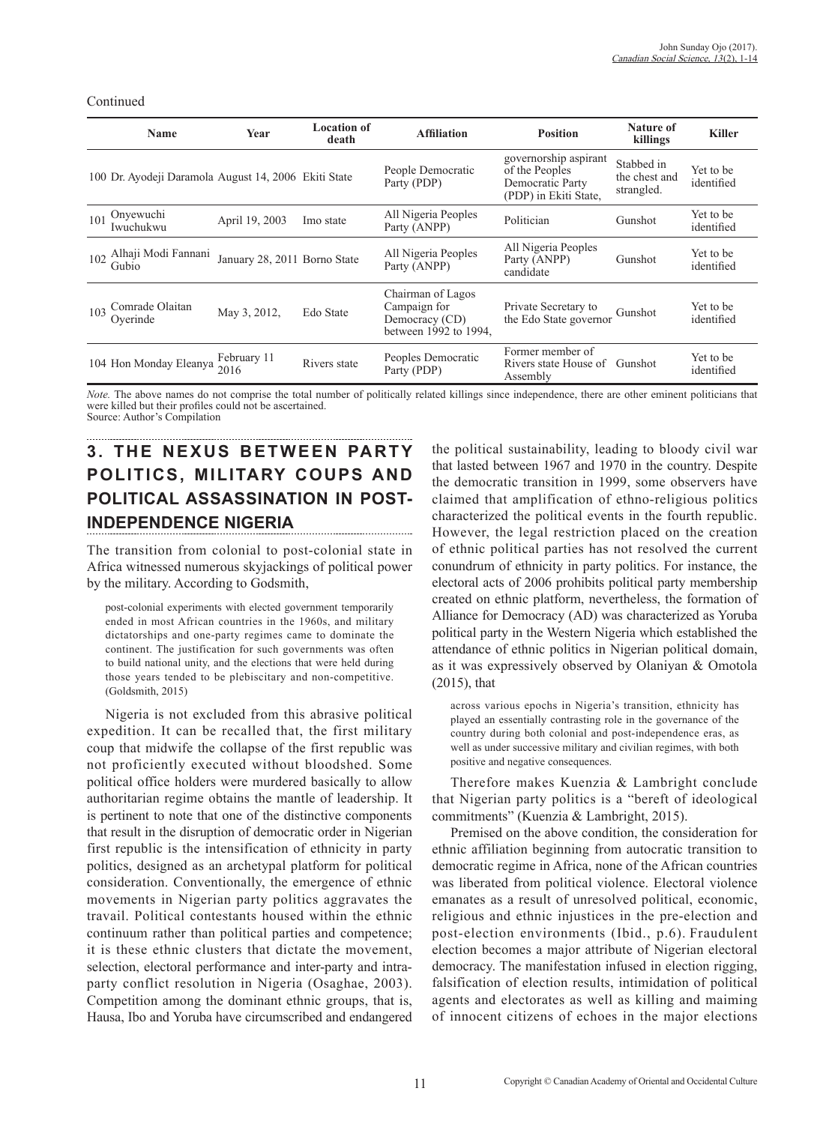| Name                                                 | Year                         | <b>Location of</b><br>death | <b>Affiliation</b>                                                           | <b>Position</b>                                                                      | Nature of<br>killings                     | <b>Killer</b>           |
|------------------------------------------------------|------------------------------|-----------------------------|------------------------------------------------------------------------------|--------------------------------------------------------------------------------------|-------------------------------------------|-------------------------|
| 100 Dr. Ayodeji Daramola August 14, 2006 Ekiti State |                              |                             | People Democratic<br>Party (PDP)                                             | governorship aspirant<br>of the Peoples<br>Democratic Party<br>(PDP) in Ekiti State, | Stabbed in<br>the chest and<br>strangled. | Yet to be<br>identified |
| Onyewuchi<br>101<br>Iwuchukwu                        | April 19, 2003               | Imo state                   | All Nigeria Peoples<br>Party (ANPP)                                          | Politician                                                                           | Gunshot                                   | Yet to be<br>identified |
| Alhaji Modi Fannani<br>102<br>Gubio                  | January 28, 2011 Borno State |                             | All Nigeria Peoples<br>Party (ANPP)                                          | All Nigeria Peoples<br>Party (ANPP)<br>candidate                                     | Gunshot                                   | Yet to be<br>identified |
| Comrade Olaitan<br>103<br>Overinde                   | May 3, 2012,                 | Edo State                   | Chairman of Lagos<br>Campaign for<br>Democracy (CD)<br>between 1992 to 1994. | Private Secretary to<br>the Edo State governor                                       | Gunshot                                   | Yet to be<br>identified |
| 104 Hon Monday Eleanya                               | February 11<br>2016          | Rivers state                | Peoples Democratic<br>Party (PDP)                                            | Former member of<br>Rivers state House of Gunshot<br>Assembly                        |                                           | Yet to be<br>identified |

*Note.* The above names do not comprise the total number of politically related killings since independence, there are other eminent politicians that were killed but their profiles could not be ascertained. Source: Author's Compilation

## **3. THE NEXUS BETWEEN PARTY POLITICS, MILITARY COUPS AND POLITICAL ASSASSINATION IN POST-INDEPENDENCE NIGERIA**

The transition from colonial to post-colonial state in Africa witnessed numerous skyjackings of political power by the military. According to Godsmith,

post-colonial experiments with elected government temporarily ended in most African countries in the 1960s, and military dictatorships and one-party regimes came to dominate the continent. The justification for such governments was often to build national unity, and the elections that were held during those years tended to be plebiscitary and non-competitive. (Goldsmith, 2015)

Nigeria is not excluded from this abrasive political expedition. It can be recalled that, the first military coup that midwife the collapse of the first republic was not proficiently executed without bloodshed. Some political office holders were murdered basically to allow authoritarian regime obtains the mantle of leadership. It is pertinent to note that one of the distinctive components that result in the disruption of democratic order in Nigerian first republic is the intensification of ethnicity in party politics, designed as an archetypal platform for political consideration. Conventionally, the emergence of ethnic movements in Nigerian party politics aggravates the travail. Political contestants housed within the ethnic continuum rather than political parties and competence; it is these ethnic clusters that dictate the movement, selection, electoral performance and inter-party and intraparty conflict resolution in Nigeria (Osaghae, 2003). Competition among the dominant ethnic groups, that is, Hausa, Ibo and Yoruba have circumscribed and endangered the political sustainability, leading to bloody civil war that lasted between 1967 and 1970 in the country. Despite the democratic transition in 1999, some observers have claimed that amplification of ethno-religious politics characterized the political events in the fourth republic. However, the legal restriction placed on the creation of ethnic political parties has not resolved the current conundrum of ethnicity in party politics. For instance, the electoral acts of 2006 prohibits political party membership created on ethnic platform, nevertheless, the formation of Alliance for Democracy (AD) was characterized as Yoruba political party in the Western Nigeria which established the attendance of ethnic politics in Nigerian political domain, as it was expressively observed by Olaniyan & Omotola (2015), that

across various epochs in Nigeria's transition, ethnicity has played an essentially contrasting role in the governance of the country during both colonial and post-independence eras, as well as under successive military and civilian regimes, with both positive and negative consequences.

Therefore makes Kuenzia & Lambright conclude that Nigerian party politics is a "bereft of ideological commitments" (Kuenzia & Lambright, 2015).

Premised on the above condition, the consideration for ethnic affiliation beginning from autocratic transition to democratic regime in Africa, none of the African countries was liberated from political violence. Electoral violence emanates as a result of unresolved political, economic, religious and ethnic injustices in the pre-election and post-election environments (Ibid., p.6). Fraudulent election becomes a major attribute of Nigerian electoral democracy. The manifestation infused in election rigging, falsification of election results, intimidation of political agents and electorates as well as killing and maiming of innocent citizens of echoes in the major elections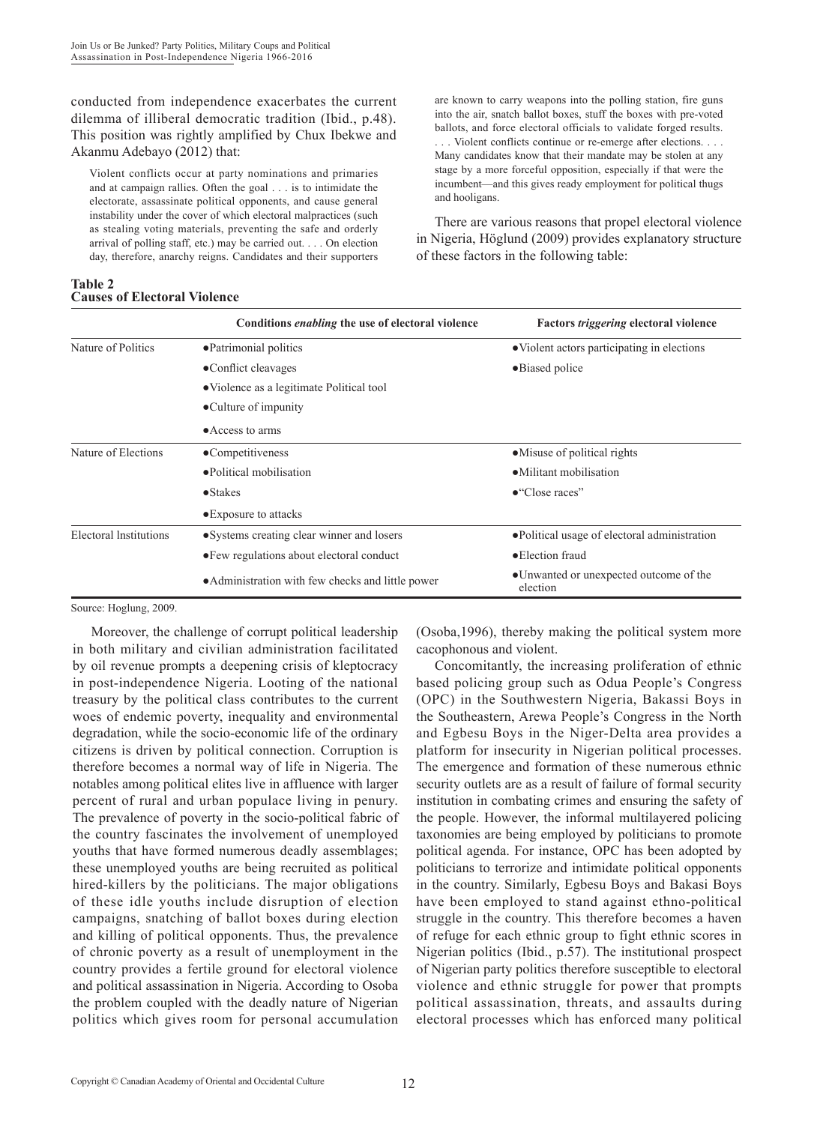conducted from independence exacerbates the current dilemma of illiberal democratic tradition (Ibid., p.48). This position was rightly amplified by Chux Ibekwe and Akanmu Adebayo (2012) that:

Violent conflicts occur at party nominations and primaries and at campaign rallies. Often the goal . . . is to intimidate the electorate, assassinate political opponents, and cause general instability under the cover of which electoral malpractices (such as stealing voting materials, preventing the safe and orderly arrival of polling staff, etc.) may be carried out. . . . On election day, therefore, anarchy reigns. Candidates and their supporters

**Table 2 Causes of Electoral Violence**

are known to carry weapons into the polling station, fire guns into the air, snatch ballot boxes, stuff the boxes with pre-voted ballots, and force electoral officials to validate forged results. . . . Violent conflicts continue or re-emerge after elections. . . . Many candidates know that their mandate may be stolen at any stage by a more forceful opposition, especially if that were the incumbent—and this gives ready employment for political thugs and hooligans.

There are various reasons that propel electoral violence in Nigeria, Höglund (2009) provides explanatory structure of these factors in the following table:

|                        | Conditions <i>enabling</i> the use of electoral violence | <b>Factors triggering electoral violence</b>        |  |  |
|------------------------|----------------------------------------------------------|-----------------------------------------------------|--|--|
| Nature of Politics     | • Patrimonial politics                                   | • Violent actors participating in elections         |  |  |
|                        | •Conflict cleavages                                      | •Biased police                                      |  |  |
|                        | • Violence as a legitimate Political tool                |                                                     |  |  |
|                        | •Culture of impunity                                     |                                                     |  |  |
|                        | • Access to arms                                         |                                                     |  |  |
| Nature of Elections    | $\bullet$ Competitiveness                                | • Misuse of political rights                        |  |  |
|                        | • Political mobilisation                                 | • Militant mobilisation                             |  |  |
|                        | $\bullet$ Stakes                                         | $\bullet$ "Close races"                             |  |  |
|                        | • Exposure to attacks                                    |                                                     |  |  |
| Electoral Institutions | • Systems creating clear winner and losers               | • Political usage of electoral administration       |  |  |
|                        | • Few regulations about electoral conduct                | • Election fraud                                    |  |  |
|                        | • Administration with few checks and little power        | • Unwanted or unexpected outcome of the<br>election |  |  |

Source: Hoglung, 2009.

Moreover, the challenge of corrupt political leadership in both military and civilian administration facilitated by oil revenue prompts a deepening crisis of kleptocracy in post-independence Nigeria. Looting of the national treasury by the political class contributes to the current woes of endemic poverty, inequality and environmental degradation, while the socio-economic life of the ordinary citizens is driven by political connection. Corruption is therefore becomes a normal way of life in Nigeria. The notables among political elites live in affluence with larger percent of rural and urban populace living in penury. The prevalence of poverty in the socio-political fabric of the country fascinates the involvement of unemployed youths that have formed numerous deadly assemblages; these unemployed youths are being recruited as political hired-killers by the politicians. The major obligations of these idle youths include disruption of election campaigns, snatching of ballot boxes during election and killing of political opponents. Thus, the prevalence of chronic poverty as a result of unemployment in the country provides a fertile ground for electoral violence and political assassination in Nigeria. According to Osoba the problem coupled with the deadly nature of Nigerian politics which gives room for personal accumulation

(Osoba,1996), thereby making the political system more cacophonous and violent.

Concomitantly, the increasing proliferation of ethnic based policing group such as Odua People's Congress (OPC) in the Southwestern Nigeria, Bakassi Boys in the Southeastern, Arewa People's Congress in the North and Egbesu Boys in the Niger-Delta area provides a platform for insecurity in Nigerian political processes. The emergence and formation of these numerous ethnic security outlets are as a result of failure of formal security institution in combating crimes and ensuring the safety of the people. However, the informal multilayered policing taxonomies are being employed by politicians to promote political agenda. For instance, OPC has been adopted by politicians to terrorize and intimidate political opponents in the country. Similarly, Egbesu Boys and Bakasi Boys have been employed to stand against ethno-political struggle in the country. This therefore becomes a haven of refuge for each ethnic group to fight ethnic scores in Nigerian politics (Ibid., p.57). The institutional prospect of Nigerian party politics therefore susceptible to electoral violence and ethnic struggle for power that prompts political assassination, threats, and assaults during electoral processes which has enforced many political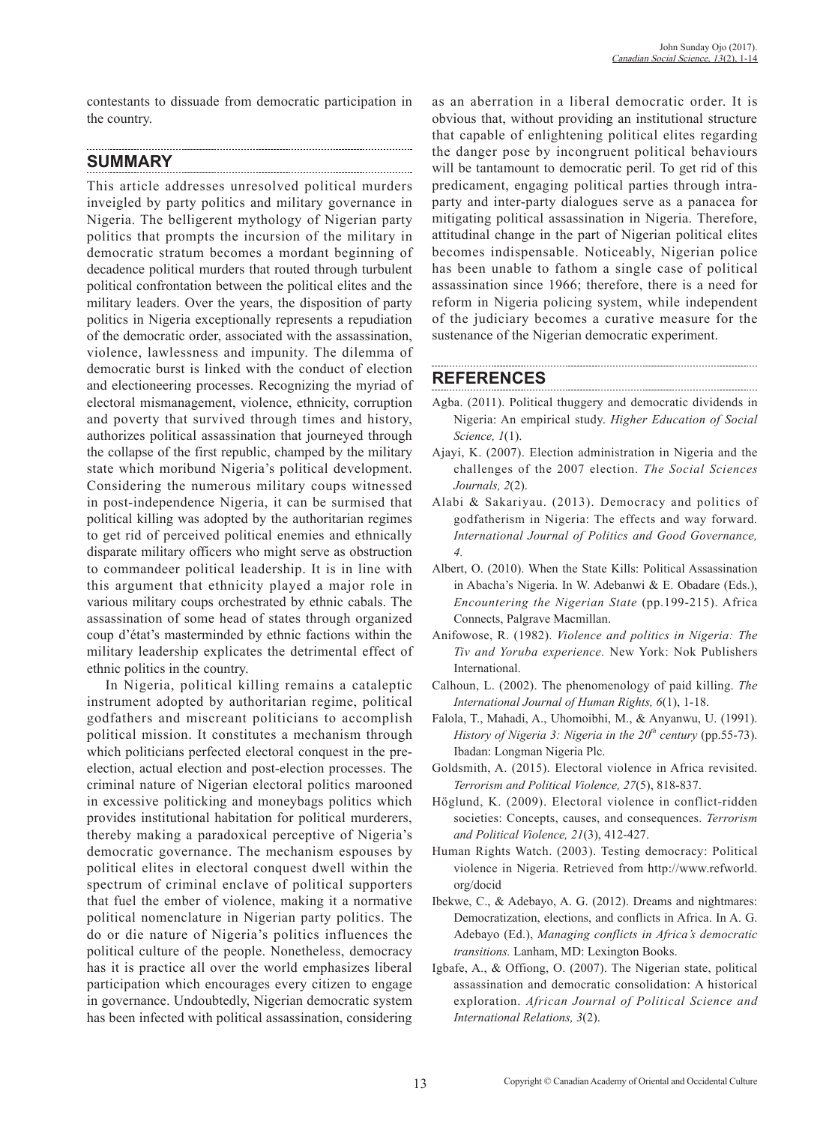contestants to dissuade from democratic participation in the country.

#### **SUMMARY**

This article addresses unresolved political murders inveigled by party politics and military governance in Nigeria. The belligerent mythology of Nigerian party politics that prompts the incursion of the military in democratic stratum becomes a mordant beginning of decadence political murders that routed through turbulent political confrontation between the political elites and the military leaders. Over the years, the disposition of party politics in Nigeria exceptionally represents a repudiation of the democratic order, associated with the assassination, violence, lawlessness and impunity. The dilemma of democratic burst is linked with the conduct of election and electioneering processes. Recognizing the myriad of electoral mismanagement, violence, ethnicity, corruption and poverty that survived through times and history, authorizes political assassination that journeyed through the collapse of the first republic, champed by the military state which moribund Nigeria's political development. Considering the numerous military coups witnessed in post-independence Nigeria, it can be surmised that political killing was adopted by the authoritarian regimes to get rid of perceived political enemies and ethnically disparate military officers who might serve as obstruction to commandeer political leadership. It is in line with this argument that ethnicity played a major role in various military coups orchestrated by ethnic cabals. The assassination of some head of states through organized coup d'état's masterminded by ethnic factions within the military leadership explicates the detrimental effect of ethnic politics in the country.

In Nigeria, political killing remains a cataleptic instrument adopted by authoritarian regime, political godfathers and miscreant politicians to accomplish political mission. It constitutes a mechanism through which politicians perfected electoral conquest in the preelection, actual election and post-election processes. The criminal nature of Nigerian electoral politics marooned in excessive politicking and moneybags politics which provides institutional habitation for political murderers, thereby making a paradoxical perceptive of Nigeria's democratic governance. The mechanism espouses by political elites in electoral conquest dwell within the spectrum of criminal enclave of political supporters that fuel the ember of violence, making it a normative political nomenclature in Nigerian party politics. The do or die nature of Nigeria's politics influences the political culture of the people. Nonetheless, democracy has it is practice all over the world emphasizes liberal participation which encourages every citizen to engage in governance. Undoubtedly, Nigerian democratic system has been infected with political assassination, considering as an aberration in a liberal democratic order. It is obvious that, without providing an institutional structure that capable of enlightening political elites regarding the danger pose by incongruent political behaviours will be tantamount to democratic peril. To get rid of this predicament, engaging political parties through intraparty and inter-party dialogues serve as a panacea for mitigating political assassination in Nigeria. Therefore, attitudinal change in the part of Nigerian political elites becomes indispensable. Noticeably, Nigerian police has been unable to fathom a single case of political assassination since 1966; therefore, there is a need for reform in Nigeria policing system, while independent of the judiciary becomes a curative measure for the sustenance of the Nigerian democratic experiment.

### **REFERENCES**

Agba. (2011). Political thuggery and democratic dividends in Nigeria: An empirical study. *Higher Education of Social Science, 1*(1).

- Ajayi, K. (2007). Election administration in Nigeria and the challenges of the 2007 election. *The Social Sciences Journals, 2*(2).
- Alabi & Sakariyau. (2013). Democracy and politics of godfatherism in Nigeria: The effects and way forward. *International Journal of Politics and Good Governance, 4.*
- Albert, O. (2010). When the State Kills: Political Assassination in Abacha's Nigeria. In W. Adebanwi & E. Obadare (Eds.), *Encountering the Nigerian State* (pp.199-215). Africa Connects, Palgrave Macmillan.
- Anifowose, R. (1982). *Violence and politics in Nigeria: The Tiv and Yoruba experience.* New York: Nok Publishers International.
- Calhoun, L. (2002). The phenomenology of paid killing. *The International Journal of Human Rights, 6*(1), 1-18.
- Falola, T., Mahadi, A., Uhomoibhi, M., & Anyanwu, U. (1991). *History of Nigeria 3: Nigeria in the 20<sup>th</sup> century (pp.55-73).* Ibadan: Longman Nigeria Plc.
- Goldsmith, A. (2015). Electoral violence in Africa revisited. *Terrorism and Political Violence, 27*(5), 818-837.
- Höglund, K. (2009). Electoral violence in conflict-ridden societies: Concepts, causes, and consequences. *Terrorism and Political Violence, 21*(3), 412-427.
- Human Rights Watch. (2003). Testing democracy: Political violence in Nigeria. Retrieved from http://www.refworld. org/docid
- Ibekwe, C., & Adebayo, A. G. (2012). Dreams and nightmares: Democratization, elections, and conflicts in Africa. In A. G. Adebayo (Ed.), *Managing conflicts in Africa's democratic transitions.* Lanham, MD: Lexington Books.
- Igbafe, A., & Offiong, O. (2007). The Nigerian state, political assassination and democratic consolidation: A historical exploration. *African Journal of Political Science and International Relations, 3*(2).